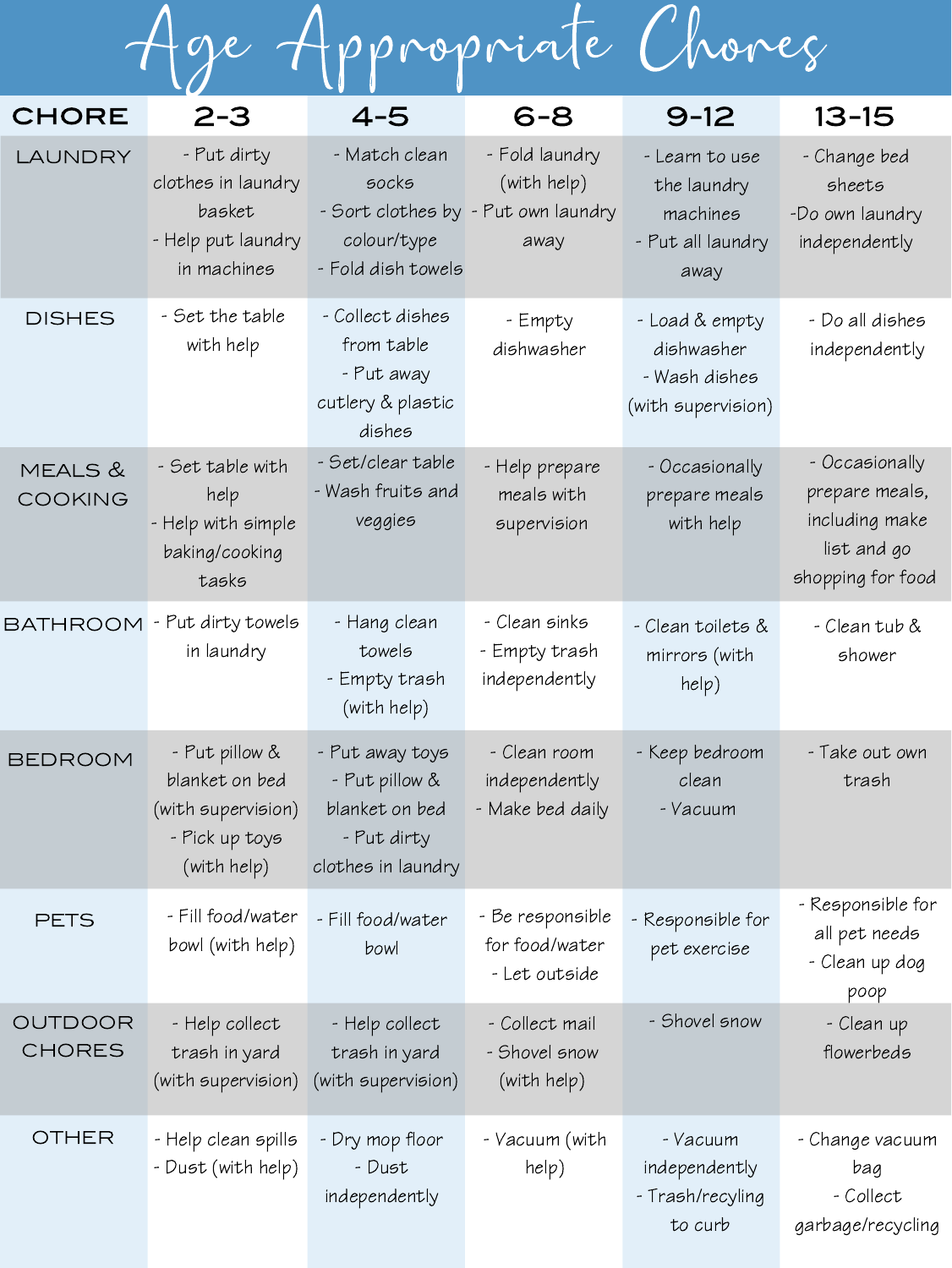Age Appropriate Chores

| <b>CHORE</b>             | $2 - 3$                                                                                 | $4 - 5$                                                                                  | $6 - 8$                                                                      | $9 - 12$                                                               | $13 - 15$                                                                              |
|--------------------------|-----------------------------------------------------------------------------------------|------------------------------------------------------------------------------------------|------------------------------------------------------------------------------|------------------------------------------------------------------------|----------------------------------------------------------------------------------------|
| LAUNDRY                  | - Put dirty<br>clothes in laundry<br>basket<br>- Help put laundry<br>in machines        | - Match clean<br><b>SOCKS</b><br>colour/type<br>- Fold dish towels                       | - Fold laundry<br>(with help)<br>- Sort clothes by - Put own laundry<br>away | - Learn to use<br>the laundry<br>machines<br>- Put all laundry<br>away | - Change bed<br>sheets<br>-Do own laundry<br>independently                             |
| <b>DISHES</b>            | - Set the table<br>with help                                                            | - Collect dishes<br>from table<br>- Put away<br>cutlery & plastic<br>dishes              | - Empty<br>dishwasher                                                        | - Load & empty<br>dishwasher<br>- Wash dishes<br>(with supervision)    | - Do all dishes<br>independently                                                       |
| MEALS &<br>COOKING       | - Set table with<br>help<br>- Help with simple<br>baking/cooking<br>tasks               | - Set/clear table<br>- Wash fruits and<br>veggies                                        | - Help prepare<br>meals with<br>supervision                                  | - Occasionally<br>prepare meals<br>with help                           | - Occasionally<br>prepare meals,<br>including make<br>list and go<br>shopping for food |
| <b>BATHROOM</b>          | - Put dirty towels<br>in laundry                                                        | - Hang clean<br>towels<br>- Empty trash<br>(with help)                                   | - Clean sinks<br>- Empty trash<br>independently                              | - Clean toilets &<br>mirrors (with<br>help)                            | - Clean tub &<br>shower                                                                |
| BEDROOM                  | - Put pillow &<br>blanket on bed<br>(with supervision)<br>- Pick up toys<br>(with help) | - Put away toys<br>- Put pillow &<br>blanket on bed<br>- Put dirty<br>clothes in laundry | - Clean room<br>independently<br>- Make bed daily                            | - Keep bedroom<br>clean<br>- Vacuum                                    | - Take out own<br>trash                                                                |
| <b>PETS</b>              | - Fill food/water<br>bowl (with help)                                                   | - Fill food/water<br>bowl                                                                | - Be responsible<br>for food/water<br>- Let outside                          | - Responsible for<br>pet exercise                                      | - Responsible for<br>all pet needs<br>- Clean up dog<br>poop                           |
| OUTDOOR<br><b>CHORES</b> | - Help collect<br>trash in yard<br>(with supervision) (with supervision)                | - Help collect<br>trash in yard                                                          | - Collect mail<br>- Shovel snow<br>(with help)                               | - Shovel snow                                                          | - Clean up<br>flowerbeds                                                               |
| <b>OTHER</b>             | - Help clean spills<br>- Dust (with help)                                               | - Dry mop floor<br>- Dust<br>independently                                               | - Vacuum (with<br>help)                                                      | - Vacuum<br>independently<br>- Trash/recyling<br>to curb               | - Change vacuum<br>bag<br>- Collect<br>garbage/recycling                               |